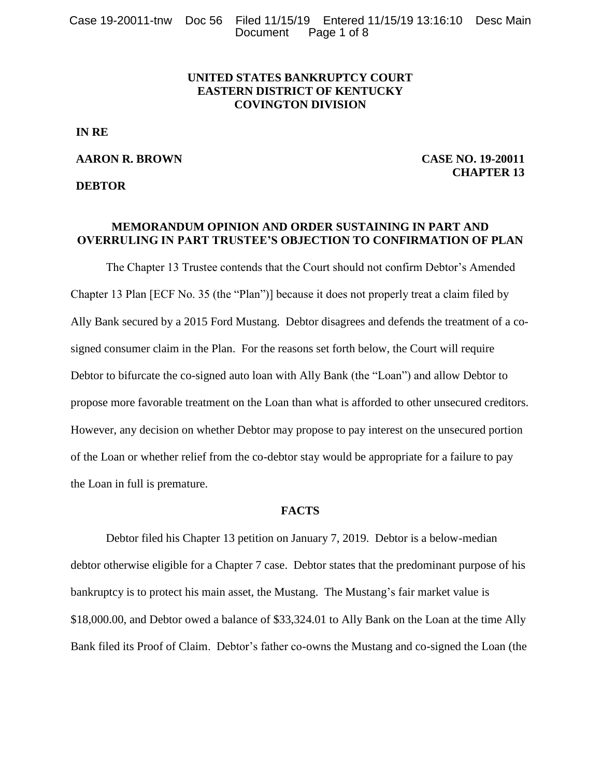## **UNITED STATES BANKRUPTCY COURT EASTERN DISTRICT OF KENTUCKY COVINGTON DIVISION**

**IN RE**

### **AARON R. BROWN**

**DEBTOR**

**CASE NO. 19-20011 CHAPTER 13**

## **MEMORANDUM OPINION AND ORDER SUSTAINING IN PART AND OVERRULING IN PART TRUSTEE'S OBJECTION TO CONFIRMATION OF PLAN**

The Chapter 13 Trustee contends that the Court should not confirm Debtor's Amended Chapter 13 Plan [ECF No. 35 (the "Plan")] because it does not properly treat a claim filed by Ally Bank secured by a 2015 Ford Mustang. Debtor disagrees and defends the treatment of a cosigned consumer claim in the Plan. For the reasons set forth below, the Court will require Debtor to bifurcate the co-signed auto loan with Ally Bank (the "Loan") and allow Debtor to propose more favorable treatment on the Loan than what is afforded to other unsecured creditors. However, any decision on whether Debtor may propose to pay interest on the unsecured portion of the Loan or whether relief from the co-debtor stay would be appropriate for a failure to pay the Loan in full is premature.

#### **FACTS**

Debtor filed his Chapter 13 petition on January 7, 2019. Debtor is a below-median debtor otherwise eligible for a Chapter 7 case. Debtor states that the predominant purpose of his bankruptcy is to protect his main asset, the Mustang. The Mustang's fair market value is \$18,000.00, and Debtor owed a balance of \$33,324.01 to Ally Bank on the Loan at the time Ally Bank filed its Proof of Claim. Debtor's father co-owns the Mustang and co-signed the Loan (the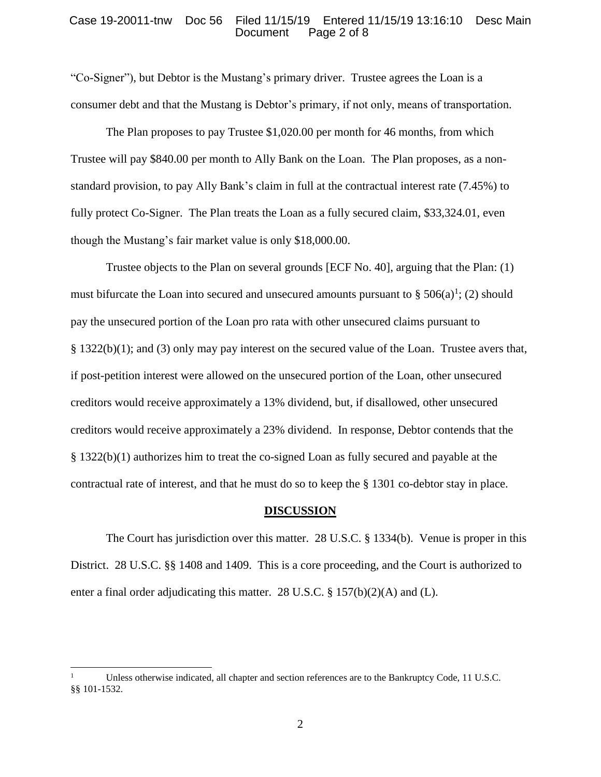#### Case 19-20011-tnw Doc 56 Filed 11/15/19 Entered 11/15/19 13:16:10 Desc Main Page 2 of 8

"Co-Signer"), but Debtor is the Mustang's primary driver. Trustee agrees the Loan is a consumer debt and that the Mustang is Debtor's primary, if not only, means of transportation.

The Plan proposes to pay Trustee \$1,020.00 per month for 46 months, from which Trustee will pay \$840.00 per month to Ally Bank on the Loan. The Plan proposes, as a nonstandard provision, to pay Ally Bank's claim in full at the contractual interest rate (7.45%) to fully protect Co-Signer. The Plan treats the Loan as a fully secured claim, \$33,324.01, even though the Mustang's fair market value is only \$18,000.00.

Trustee objects to the Plan on several grounds [ECF No. 40], arguing that the Plan: (1) must bifurcate the Loan into secured and unsecured amounts pursuant to §  $506(a)^1$ ; (2) should pay the unsecured portion of the Loan pro rata with other unsecured claims pursuant to § 1322(b)(1); and (3) only may pay interest on the secured value of the Loan. Trustee avers that, if post-petition interest were allowed on the unsecured portion of the Loan, other unsecured creditors would receive approximately a 13% dividend, but, if disallowed, other unsecured creditors would receive approximately a 23% dividend. In response, Debtor contends that the § 1322(b)(1) authorizes him to treat the co-signed Loan as fully secured and payable at the contractual rate of interest, and that he must do so to keep the § 1301 co-debtor stay in place.

#### **DISCUSSION**

The Court has jurisdiction over this matter. 28 U.S.C. § 1334(b). Venue is proper in this District. 28 U.S.C. §§ 1408 and 1409. This is a core proceeding, and the Court is authorized to enter a final order adjudicating this matter. 28 U.S.C. § 157(b)(2)(A) and (L).

l

Unless otherwise indicated, all chapter and section references are to the Bankruptcy Code, 11 U.S.C. §§ 101-1532.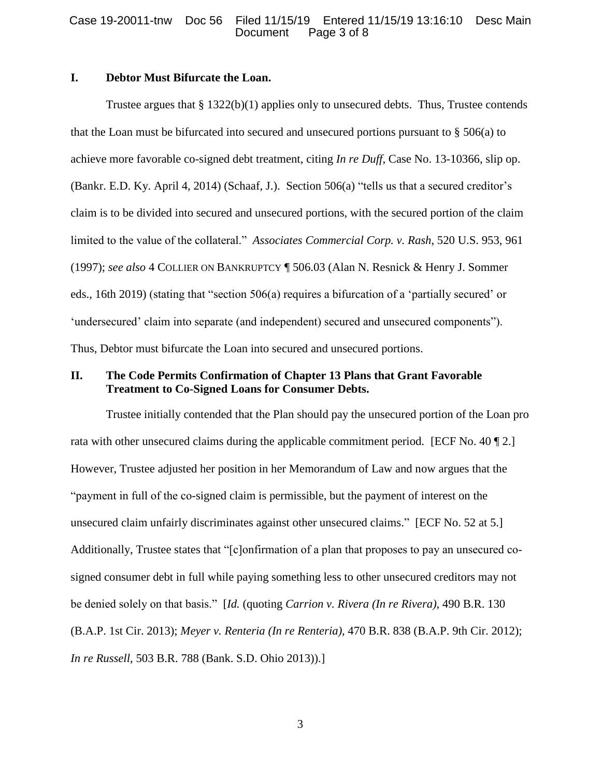### Case 19-20011-tnw Doc 56 Filed 11/15/19 Entered 11/15/19 13:16:10 Desc Main Page 3 of 8

# **I. Debtor Must Bifurcate the Loan.**

Trustee argues that  $\S 1322(b)(1)$  applies only to unsecured debts. Thus, Trustee contends that the Loan must be bifurcated into secured and unsecured portions pursuant to § 506(a) to achieve more favorable co-signed debt treatment, citing *In re Duff*, Case No. 13-10366, slip op. (Bankr. E.D. Ky. April 4, 2014) (Schaaf, J.). Section 506(a) "tells us that a secured creditor's claim is to be divided into secured and unsecured portions, with the secured portion of the claim limited to the value of the collateral." *Associates Commercial Corp. v. Rash*, 520 U.S. 953, 961 (1997); *see also* 4 COLLIER ON BANKRUPTCY ¶ 506.03 (Alan N. Resnick & Henry J. Sommer eds., 16th 2019) (stating that "section 506(a) requires a bifurcation of a 'partially secured' or 'undersecured' claim into separate (and independent) secured and unsecured components"). Thus, Debtor must bifurcate the Loan into secured and unsecured portions.

## **II. The Code Permits Confirmation of Chapter 13 Plans that Grant Favorable Treatment to Co-Signed Loans for Consumer Debts.**

Trustee initially contended that the Plan should pay the unsecured portion of the Loan pro rata with other unsecured claims during the applicable commitment period. [ECF No. 40 ¶ 2.] However, Trustee adjusted her position in her Memorandum of Law and now argues that the "payment in full of the co-signed claim is permissible, but the payment of interest on the unsecured claim unfairly discriminates against other unsecured claims." [ECF No. 52 at 5.] Additionally, Trustee states that "[c]onfirmation of a plan that proposes to pay an unsecured cosigned consumer debt in full while paying something less to other unsecured creditors may not be denied solely on that basis." [*Id.* (quoting *Carrion v. Rivera (In re Rivera)*, 490 B.R. 130 (B.A.P. 1st Cir. 2013); *Meyer v. Renteria (In re Renteria)*, 470 B.R. 838 (B.A.P. 9th Cir. 2012); *In re Russell*, 503 B.R. 788 (Bank. S.D. Ohio 2013)).]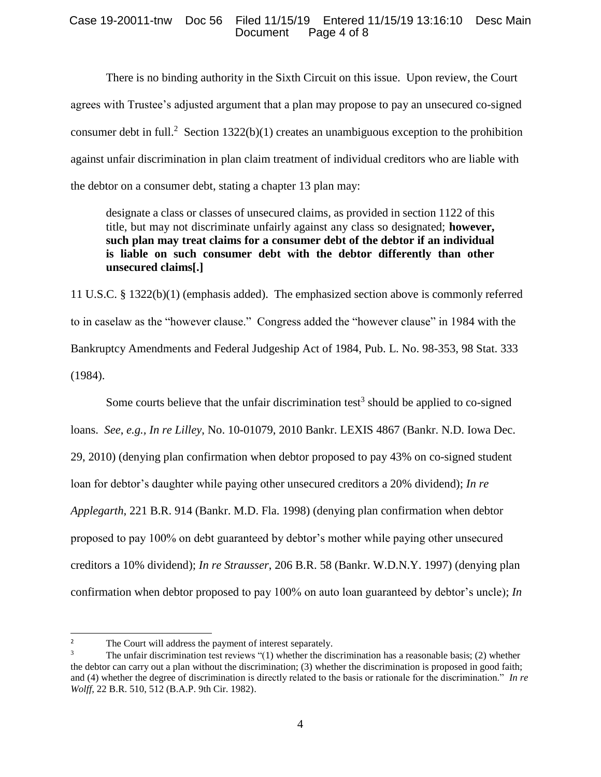### Case 19-20011-tnw Doc 56 Filed 11/15/19 Entered 11/15/19 13:16:10 Desc Main Page 4 of 8

There is no binding authority in the Sixth Circuit on this issue. Upon review, the Court agrees with Trustee's adjusted argument that a plan may propose to pay an unsecured co-signed consumer debt in full.<sup>2</sup> Section 1322(b)(1) creates an unambiguous exception to the prohibition against unfair discrimination in plan claim treatment of individual creditors who are liable with the debtor on a consumer debt, stating a chapter 13 plan may:

designate a class or classes of unsecured claims, as provided in section 1122 of this title, but may not discriminate unfairly against any class so designated; **however, such plan may treat claims for a consumer debt of the debtor if an individual is liable on such consumer debt with the debtor differently than other unsecured claims[.]**

11 U.S.C. § 1322(b)(1) (emphasis added). The emphasized section above is commonly referred to in caselaw as the "however clause." Congress added the "however clause" in 1984 with the Bankruptcy Amendments and Federal Judgeship Act of 1984, Pub. L. No. 98-353, 98 Stat. 333 (1984).

Some courts believe that the unfair discrimination test<sup>3</sup> should be applied to co-signed loans. *See*, *e.g., In re Lilley*, No. 10-01079, 2010 Bankr. LEXIS 4867 (Bankr. N.D. Iowa Dec. 29, 2010) (denying plan confirmation when debtor proposed to pay 43% on co-signed student loan for debtor's daughter while paying other unsecured creditors a 20% dividend); *In re Applegarth*, 221 B.R. 914 (Bankr. M.D. Fla. 1998) (denying plan confirmation when debtor proposed to pay 100% on debt guaranteed by debtor's mother while paying other unsecured creditors a 10% dividend); *In re Strausser*, 206 B.R. 58 (Bankr. W.D.N.Y. 1997) (denying plan confirmation when debtor proposed to pay 100% on auto loan guaranteed by debtor's uncle); *In* 

 $\overline{2}$ <sup>2</sup> The Court will address the payment of interest separately.<br><sup>3</sup> The unfair discrimination test reviews "(1) whether the dis-

The unfair discrimination test reviews "(1) whether the discrimination has a reasonable basis; (2) whether the debtor can carry out a plan without the discrimination; (3) whether the discrimination is proposed in good faith; and (4) whether the degree of discrimination is directly related to the basis or rationale for the discrimination." *In re Wolff*, 22 B.R. 510, 512 (B.A.P. 9th Cir. 1982).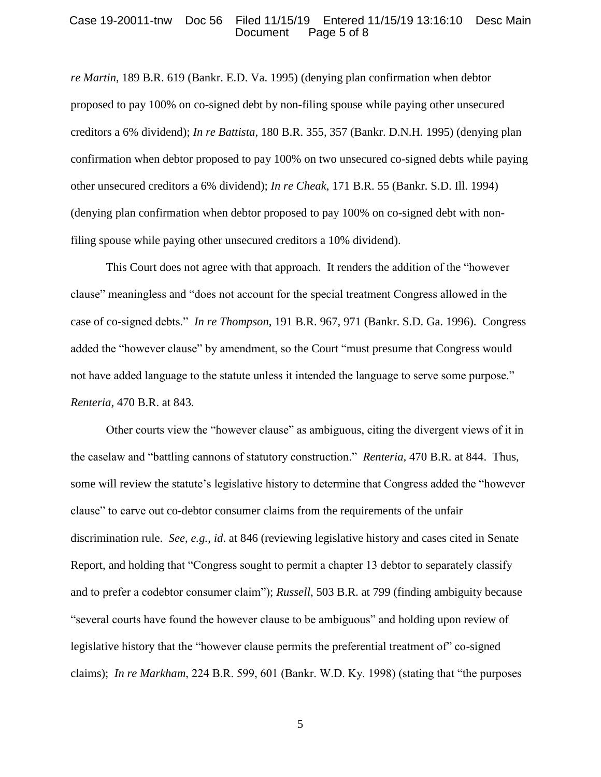#### Case 19-20011-tnw Doc 56 Filed 11/15/19 Entered 11/15/19 13:16:10 Desc Main Page 5 of 8

*re Martin*, 189 B.R. 619 (Bankr. E.D. Va. 1995) (denying plan confirmation when debtor proposed to pay 100% on co-signed debt by non-filing spouse while paying other unsecured creditors a 6% dividend); *In re Battista*, 180 B.R. 355, 357 (Bankr. D.N.H. 1995) (denying plan confirmation when debtor proposed to pay 100% on two unsecured co-signed debts while paying other unsecured creditors a 6% dividend); *In re Cheak*, 171 B.R. 55 (Bankr. S.D. Ill. 1994) (denying plan confirmation when debtor proposed to pay 100% on co-signed debt with nonfiling spouse while paying other unsecured creditors a 10% dividend).

This Court does not agree with that approach. It renders the addition of the "however clause" meaningless and "does not account for the special treatment Congress allowed in the case of co-signed debts." *In re Thompson*, 191 B.R. 967, 971 (Bankr. S.D. Ga. 1996). Congress added the "however clause" by amendment, so the Court "must presume that Congress would not have added language to the statute unless it intended the language to serve some purpose." *Renteria,* 470 B.R. at 843*.*

Other courts view the "however clause" as ambiguous, citing the divergent views of it in the caselaw and "battling cannons of statutory construction." *Renteria,* 470 B.R. at 844. Thus, some will review the statute's legislative history to determine that Congress added the "however clause" to carve out co-debtor consumer claims from the requirements of the unfair discrimination rule. *See*, *e.g.*, *id*. at 846 (reviewing legislative history and cases cited in Senate Report, and holding that "Congress sought to permit a chapter 13 debtor to separately classify and to prefer a codebtor consumer claim"); *Russell*, 503 B.R. at 799 (finding ambiguity because "several courts have found the however clause to be ambiguous" and holding upon review of legislative history that the "however clause permits the preferential treatment of" co-signed claims); *In re Markham*, 224 B.R. 599, 601 (Bankr. W.D. Ky. 1998) (stating that "the purposes

5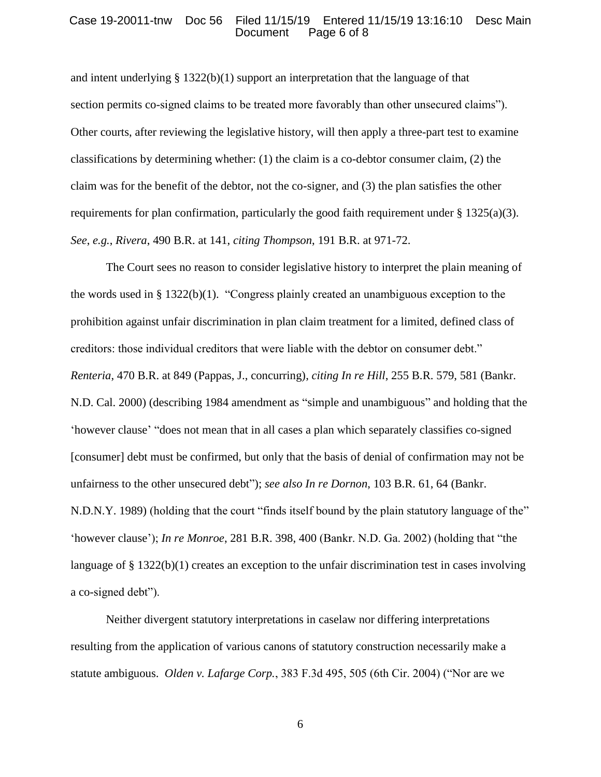### Case 19-20011-tnw Doc 56 Filed 11/15/19 Entered 11/15/19 13:16:10 Desc Main Page 6 of 8

and intent underlying  $\S 1322(b)(1)$  support an interpretation that the language of that section permits co-signed claims to be treated more favorably than other unsecured claims"). Other courts, after reviewing the legislative history, will then apply a three-part test to examine classifications by determining whether: (1) the claim is a co-debtor consumer claim, (2) the claim was for the benefit of the debtor, not the co-signer, and (3) the plan satisfies the other requirements for plan confirmation, particularly the good faith requirement under  $\S 1325(a)(3)$ . *See*, *e.g.*, *Rivera*, 490 B.R. at 141, *citing Thompson*, 191 B.R. at 971-72.

The Court sees no reason to consider legislative history to interpret the plain meaning of the words used in § 1322(b)(1). "Congress plainly created an unambiguous exception to the prohibition against unfair discrimination in plan claim treatment for a limited, defined class of creditors: those individual creditors that were liable with the debtor on consumer debt." *Renteria*, 470 B.R. at 849 (Pappas, J., concurring), *citing In re Hill*, 255 B.R. 579, 581 (Bankr. N.D. Cal. 2000) (describing 1984 amendment as "simple and unambiguous" and holding that the 'however clause' "does not mean that in all cases a plan which separately classifies co-signed [consumer] debt must be confirmed, but only that the basis of denial of confirmation may not be unfairness to the other unsecured debt"); *see also In re Dornon*, 103 B.R. 61, 64 (Bankr. N.D.N.Y. 1989) (holding that the court "finds itself bound by the plain statutory language of the" 'however clause'); *In re Monroe*, 281 B.R. 398, 400 (Bankr. N.D. Ga. 2002) (holding that "the language of § 1322(b)(1) creates an exception to the unfair discrimination test in cases involving a co-signed debt").

Neither divergent statutory interpretations in caselaw nor differing interpretations resulting from the application of various canons of statutory construction necessarily make a statute ambiguous. *Olden v. Lafarge Corp.*, 383 F.3d 495, 505 (6th Cir. 2004) ("Nor are we

6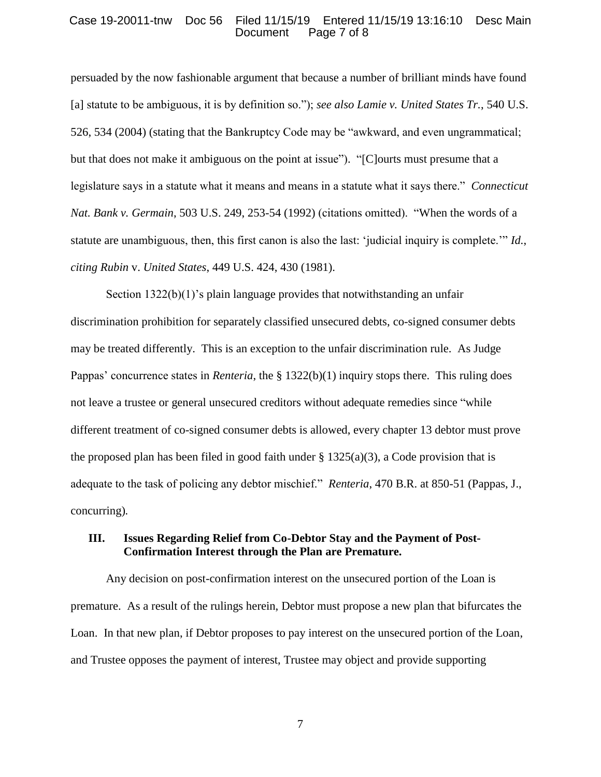#### Case 19-20011-tnw Doc 56 Filed 11/15/19 Entered 11/15/19 13:16:10 Desc Main Page 7 of 8

persuaded by the now fashionable argument that because a number of brilliant minds have found [a] statute to be ambiguous, it is by definition so."); *see also Lamie v. United States Tr.*, 540 U.S. 526, 534 (2004) (stating that the Bankruptcy Code may be "awkward, and even ungrammatical; but that does not make it ambiguous on the point at issue"). "[C]ourts must presume that a legislature says in a statute what it means and means in a statute what it says there." *Connecticut Nat. Bank v. Germain*, 503 U.S. 249, 253-54 (1992) (citations omitted). "When the words of a statute are unambiguous, then, this first canon is also the last: 'judicial inquiry is complete.'" *Id.*, *citing Rubin* v. *United States*, 449 U.S. 424, 430 (1981).

Section 1322(b)(1)'s plain language provides that notwithstanding an unfair discrimination prohibition for separately classified unsecured debts, co-signed consumer debts may be treated differently. This is an exception to the unfair discrimination rule. As Judge Pappas' concurrence states in *Renteria*, the § 1322(b)(1) inquiry stops there. This ruling does not leave a trustee or general unsecured creditors without adequate remedies since "while different treatment of co-signed consumer debts is allowed, every chapter 13 debtor must prove the proposed plan has been filed in good faith under  $\S 1325(a)(3)$ , a Code provision that is adequate to the task of policing any debtor mischief." *Renteria*, 470 B.R. at 850-51 (Pappas, J., concurring)*.*

### **III. Issues Regarding Relief from Co-Debtor Stay and the Payment of Post-Confirmation Interest through the Plan are Premature.**

Any decision on post-confirmation interest on the unsecured portion of the Loan is premature. As a result of the rulings herein, Debtor must propose a new plan that bifurcates the Loan. In that new plan, if Debtor proposes to pay interest on the unsecured portion of the Loan, and Trustee opposes the payment of interest, Trustee may object and provide supporting

7